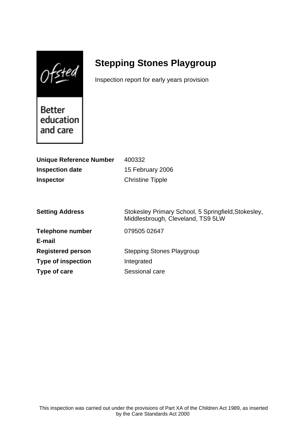$0$ fsted

# **Stepping Stones Playgroup**

Inspection report for early years provision

Better education and care

| <b>Unique Reference Number</b> | 400332                                                                                   |
|--------------------------------|------------------------------------------------------------------------------------------|
| <b>Inspection date</b>         | 15 February 2006                                                                         |
| <b>Inspector</b>               | <b>Christine Tipple</b>                                                                  |
|                                |                                                                                          |
|                                |                                                                                          |
| <b>Setting Address</b>         | Stokesley Primary School, 5 Springfield, Stokesley,<br>Middlesbrough, Cleveland, TS9 5LW |
| <b>Telephone number</b>        | 079505 02647                                                                             |
| E-mail                         |                                                                                          |
| <b>Registered person</b>       | <b>Stepping Stones Playgroup</b>                                                         |
| <b>Type of inspection</b>      | Integrated                                                                               |
| Type of care                   | Sessional care                                                                           |
|                                |                                                                                          |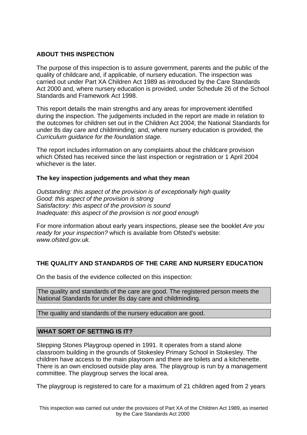## **ABOUT THIS INSPECTION**

The purpose of this inspection is to assure government, parents and the public of the quality of childcare and, if applicable, of nursery education. The inspection was carried out under Part XA Children Act 1989 as introduced by the Care Standards Act 2000 and, where nursery education is provided, under Schedule 26 of the School Standards and Framework Act 1998.

This report details the main strengths and any areas for improvement identified during the inspection. The judgements included in the report are made in relation to the outcomes for children set out in the Children Act 2004; the National Standards for under 8s day care and childminding; and, where nursery education is provided, the Curriculum guidance for the foundation stage.

The report includes information on any complaints about the childcare provision which Ofsted has received since the last inspection or registration or 1 April 2004 whichever is the later.

#### **The key inspection judgements and what they mean**

Outstanding: this aspect of the provision is of exceptionally high quality Good: this aspect of the provision is strong Satisfactory: this aspect of the provision is sound Inadequate: this aspect of the provision is not good enough

For more information about early years inspections, please see the booklet Are you ready for your inspection? which is available from Ofsted's website: www.ofsted.gov.uk.

## **THE QUALITY AND STANDARDS OF THE CARE AND NURSERY EDUCATION**

On the basis of the evidence collected on this inspection:

The quality and standards of the care are good. The registered person meets the National Standards for under 8s day care and childminding.

The quality and standards of the nursery education are good.

#### **WHAT SORT OF SETTING IS IT?**

Stepping Stones Playgroup opened in 1991. It operates from a stand alone classroom building in the grounds of Stokesley Primary School in Stokesley. The children have access to the main playroom and there are toilets and a kitchenette. There is an own enclosed outside play area. The playgroup is run by a management committee. The playgroup serves the local area.

The playgroup is registered to care for a maximum of 21 children aged from 2 years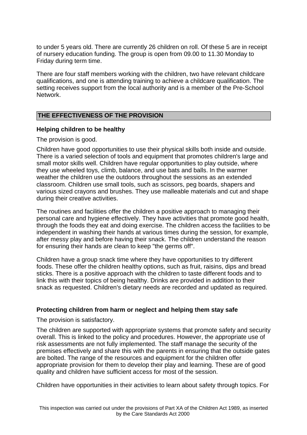to under 5 years old. There are currently 26 children on roll. Of these 5 are in receipt of nursery education funding. The group is open from 09.00 to 11.30 Monday to Friday during term time.

There are four staff members working with the children, two have relevant childcare qualifications, and one is attending training to achieve a childcare qualification. The setting receives support from the local authority and is a member of the Pre-School Network.

## **THE EFFECTIVENESS OF THE PROVISION**

#### **Helping children to be healthy**

The provision is good.

Children have good opportunities to use their physical skills both inside and outside. There is a varied selection of tools and equipment that promotes children's large and small motor skills well. Children have regular opportunities to play outside, where they use wheeled toys, climb, balance, and use bats and balls. In the warmer weather the children use the outdoors throughout the sessions as an extended classroom. Children use small tools, such as scissors, peg boards, shapers and various sized crayons and brushes. They use malleable materials and cut and shape during their creative activities.

The routines and facilities offer the children a positive approach to managing their personal care and hygiene effectively. They have activities that promote good health, through the foods they eat and doing exercise. The children access the facilities to be independent in washing their hands at various times during the session, for example, after messy play and before having their snack. The children understand the reason for ensuring their hands are clean to keep "the germs off".

Children have a group snack time where they have opportunities to try different foods. These offer the children healthy options, such as fruit, raisins, dips and bread sticks. There is a positive approach with the children to taste different foods and to link this with their topics of being healthy. Drinks are provided in addition to their snack as requested. Children's dietary needs are recorded and updated as required.

#### **Protecting children from harm or neglect and helping them stay safe**

The provision is satisfactory.

The children are supported with appropriate systems that promote safety and security overall. This is linked to the policy and procedures. However, the appropriate use of risk assessments are not fully implemented. The staff manage the security of the premises effectively and share this with the parents in ensuring that the outside gates are bolted. The range of the resources and equipment for the children offer appropriate provision for them to develop their play and learning. These are of good quality and children have sufficient access for most of the session.

Children have opportunities in their activities to learn about safety through topics. For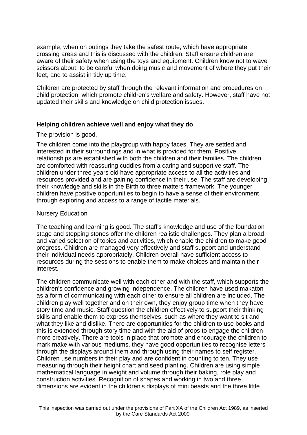example, when on outings they take the safest route, which have appropriate crossing areas and this is discussed with the children. Staff ensure children are aware of their safety when using the toys and equipment. Children know not to wave scissors about, to be careful when doing music and movement of where they put their feet, and to assist in tidy up time.

Children are protected by staff through the relevant information and procedures on child protection, which promote children's welfare and safety. However, staff have not updated their skills and knowledge on child protection issues.

## **Helping children achieve well and enjoy what they do**

#### The provision is good.

The children come into the playgroup with happy faces. They are settled and interested in their surroundings and in what is provided for them. Positive relationships are established with both the children and their families. The children are comforted with reassuring cuddles from a caring and supportive staff. The children under three years old have appropriate access to all the activities and resources provided and are gaining confidence in their use. The staff are developing their knowledge and skills in the Birth to three matters framework. The younger children have positive opportunities to begin to have a sense of their environment through exploring and access to a range of tactile materials.

#### Nursery Education

The teaching and learning is good. The staff's knowledge and use of the foundation stage and stepping stones offer the children realistic challenges. They plan a broad and varied selection of topics and activities, which enable the children to make good progress. Children are managed very effectively and staff support and understand their individual needs appropriately. Children overall have sufficient access to resources during the sessions to enable them to make choices and maintain their interest.

The children communicate well with each other and with the staff, which supports the children's confidence and growing independence. The children have used makaton as a form of communicating with each other to ensure all children are included. The children play well together and on their own, they enjoy group time when they have story time and music. Staff question the children effectively to support their thinking skills and enable them to express themselves, such as where they want to sit and what they like and dislike. There are opportunities for the children to use books and this is extended through story time and with the aid of props to engage the children more creatively. There are tools in place that promote and encourage the children to mark make with various mediums, they have good opportunities to recognise letters through the displays around them and through using their names to self register. Children use numbers in their play and are confident in counting to ten. They use measuring through their height chart and seed planting. Children are using simple mathematical language in weight and volume through their baking, role play and construction activities. Recognition of shapes and working in two and three dimensions are evident in the children's displays of mini beasts and the three little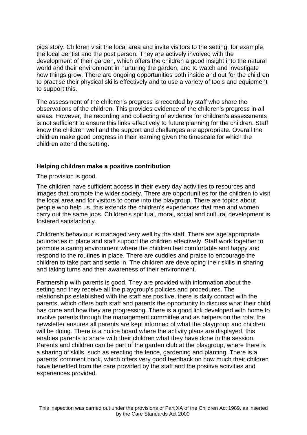pigs story. Children visit the local area and invite visitors to the setting, for example, the local dentist and the post person. They are actively involved with the development of their garden, which offers the children a good insight into the natural world and their environment in nurturing the garden, and to watch and investigate how things grow. There are ongoing opportunities both inside and out for the children to practise their physical skills effectively and to use a variety of tools and equipment to support this.

The assessment of the children's progress is recorded by staff who share the observations of the children. This provides evidence of the children's progress in all areas. However, the recording and collecting of evidence for children's assessments is not sufficient to ensure this links effectively to future planning for the children. Staff know the children well and the support and challenges are appropriate. Overall the children make good progress in their learning given the timescale for which the children attend the setting.

#### **Helping children make a positive contribution**

The provision is good.

The children have sufficient access in their every day activities to resources and images that promote the wider society. There are opportunities for the children to visit the local area and for visitors to come into the playgroup. There are topics about people who help us, this extends the children's experiences that men and women carry out the same jobs. Children's spiritual, moral, social and cultural development is fostered satisfactorily.

Children's behaviour is managed very well by the staff. There are age appropriate boundaries in place and staff support the children effectively. Staff work together to promote a caring environment where the children feel comfortable and happy and respond to the routines in place. There are cuddles and praise to encourage the children to take part and settle in. The children are developing their skills in sharing and taking turns and their awareness of their environment.

Partnership with parents is good. They are provided with information about the setting and they receive all the playgroup's policies and procedures. The relationships established with the staff are positive, there is daily contact with the parents, which offers both staff and parents the opportunity to discuss what their child has done and how they are progressing. There is a good link developed with home to involve parents through the management committee and as helpers on the rota; the newsletter ensures all parents are kept informed of what the playgroup and children will be doing. There is a notice board where the activity plans are displayed, this enables parents to share with their children what they have done in the session. Parents and children can be part of the garden club at the playgroup, where there is a sharing of skills, such as erecting the fence, gardening and planting. There is a parents' comment book, which offers very good feedback on how much their children have benefited from the care provided by the staff and the positive activities and experiences provided.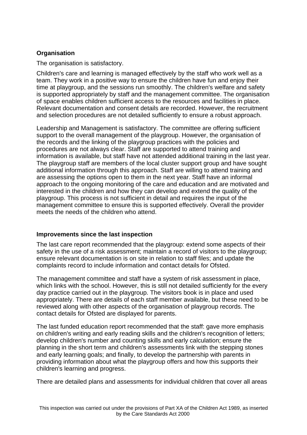# **Organisation**

The organisation is satisfactory.

Children's care and learning is managed effectively by the staff who work well as a team. They work in a positive way to ensure the children have fun and enjoy their time at playgroup, and the sessions run smoothly. The children's welfare and safety is supported appropriately by staff and the management committee. The organisation of space enables children sufficient access to the resources and facilities in place. Relevant documentation and consent details are recorded. However, the recruitment and selection procedures are not detailed sufficiently to ensure a robust approach.

Leadership and Management is satisfactory. The committee are offering sufficient support to the overall management of the playgroup. However, the organisation of the records and the linking of the playgroup practices with the policies and procedures are not always clear. Staff are supported to attend training and information is available, but staff have not attended additional training in the last year. The playgroup staff are members of the local cluster support group and have sought additional information through this approach. Staff are willing to attend training and are assessing the options open to them in the next year. Staff have an informal approach to the ongoing monitoring of the care and education and are motivated and interested in the children and how they can develop and extend the quality of the playgroup. This process is not sufficient in detail and requires the input of the management committee to ensure this is supported effectively. Overall the provider meets the needs of the children who attend.

## **Improvements since the last inspection**

The last care report recommended that the playgroup: extend some aspects of their safety in the use of a risk assessment; maintain a record of visitors to the playgroup; ensure relevant documentation is on site in relation to staff files; and update the complaints record to include information and contact details for Ofsted.

The management committee and staff have a system of risk assessment in place, which links with the school. However, this is still not detailed sufficiently for the every day practice carried out in the playgroup. The visitors book is in place and used appropriately. There are details of each staff member available, but these need to be reviewed along with other aspects of the organisation of playgroup records. The contact details for Ofsted are displayed for parents.

The last funded education report recommended that the staff: gave more emphasis on children's writing and early reading skills and the children's recognition of letters; develop children's number and counting skills and early calculation; ensure the planning in the short term and children's assessments link with the stepping stones and early learning goals; and finally, to develop the partnership with parents in providing information about what the playgroup offers and how this supports their children's learning and progress.

There are detailed plans and assessments for individual children that cover all areas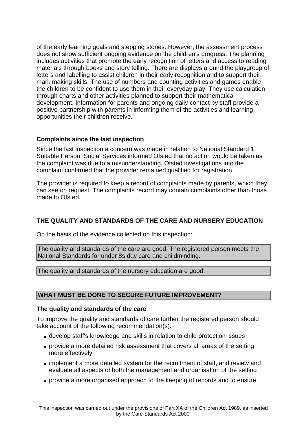of the early learning goals and stepping stones. However, the assessment process does not show sufficient ongoing evidence on the children's progress. The planning includes activities that promote the early recognition of letters and access to reading materials through books and story telling. There are displays around the playgroup of letters and labelling to assist children in their early recognition and to support their mark making skills. The use of numbers and counting activities and games enable the children to be confident to use them in their everyday play. They use calculation through charts and other activities planned to support their mathematical development. Information for parents and ongoing daily contact by staff provide a positive partnership with parents in informing them of the activities and learning opportunities their children receive.

#### **Complaints since the last inspection**

Since the last inspection a concern was made in relation to National Standard 1, Suitable Person. Social Services informed Ofsted that no action would be taken as the complaint was due to a misunderstanding. Ofsted investigations into the complaint confirmed that the provider remained qualified for registration.

The provider is required to keep a record of complaints made by parents, which they can see on request. The complaints record may contain complaints other than those made to Ofsted.

# **THE QUALITY AND STANDARDS OF THE CARE AND NURSERY EDUCATION**

On the basis of the evidence collected on this inspection:

The quality and standards of the care are good. The registered person meets the National Standards for under 8s day care and childminding.

The quality and standards of the nursery education are good.

#### **WHAT MUST BE DONE TO SECURE FUTURE IMPROVEMENT?**

#### **The quality and standards of the care**

To improve the quality and standards of care further the registered person should take account of the following recommendation(s):

- develop staff's knowledge and skills in relation to child protection issues
- provide a more detailed risk assessment that covers all areas of the setting more effectively
- implement a more detailed system for the recruitment of staff, and review and evaluate all aspects of both the management and organisation of the setting
- provide a more organised approach to the keeping of records and to ensure